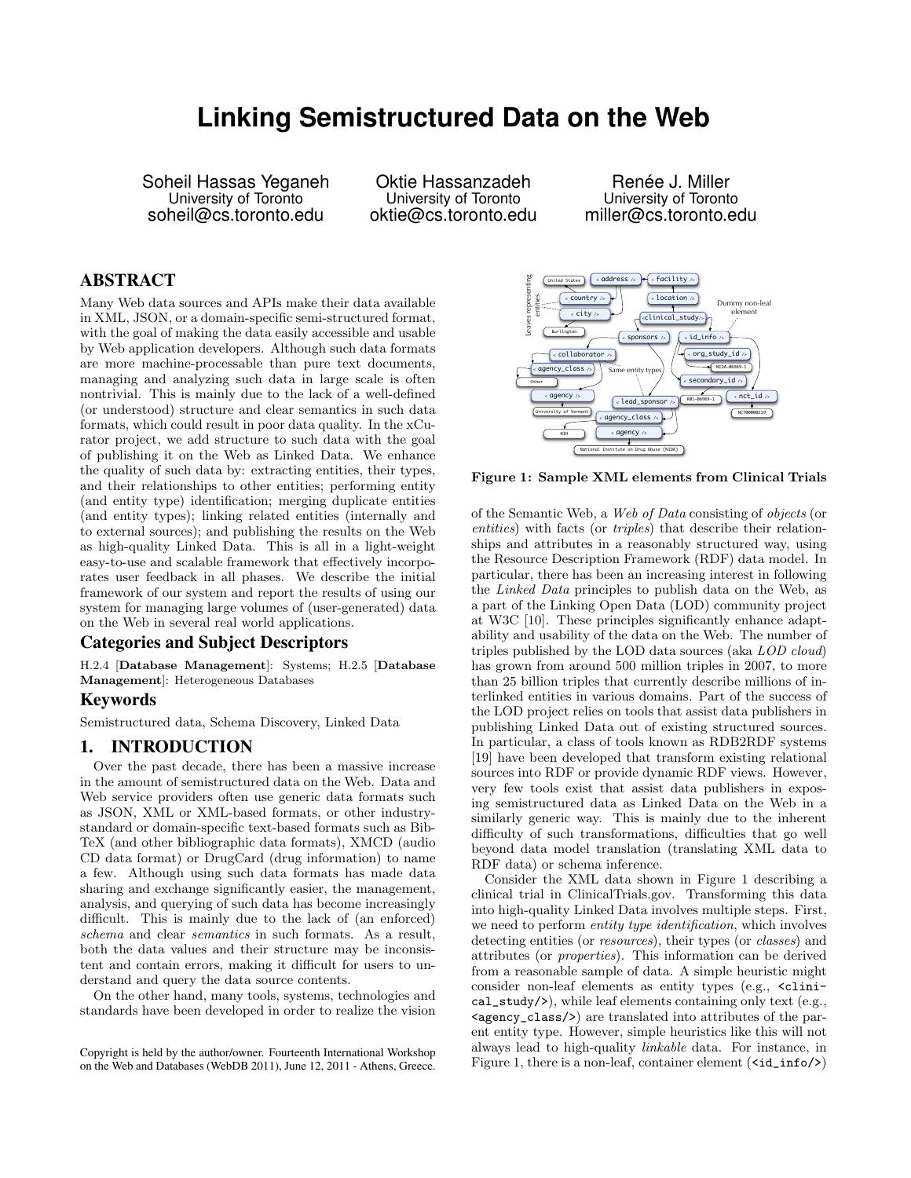# **Linking Semistructured Data on the Web**

Soheil Hassas Yeganeh University of Toronto soheil@cs.toronto.edu

Oktie Hassanzadeh University of Toronto oktie@cs.toronto.edu

Renée J. Miller University of Toronto miller@cs.toronto.edu

# ABSTRACT

Many Web data sources and APIs make their data available in XML, JSON, or a domain-specific semi-structured format, with the goal of making the data easily accessible and usable by Web application developers. Although such data formats are more machine-processable than pure text documents, managing and analyzing such data in large scale is often nontrivial. This is mainly due to the lack of a well-defined (or understood) structure and clear semantics in such data formats, which could result in poor data quality. In the xCurator project, we add structure to such data with the goal of publishing it on the Web as Linked Data. We enhance the quality of such data by: extracting entities, their types, and their relationships to other entities; performing entity (and entity type) identification; merging duplicate entities (and entity types); linking related entities (internally and to external sources); and publishing the results on the Web as high-quality Linked Data. This is all in a light-weight easy-to-use and scalable framework that effectively incorporates user feedback in all phases. We describe the initial framework of our system and report the results of using our system for managing large volumes of (user-generated) data on the Web in several real world applications.

#### Categories and Subject Descriptors

H.2.4 [Database Management]: Systems; H.2.5 [Database Management]: Heterogeneous Databases

## Keywords

Semistructured data, Schema Discovery, Linked Data

## 1. INTRODUCTION

Over the past decade, there has been a massive increase in the amount of semistructured data on the Web. Data and Web service providers often use generic data formats such as JSON, XML or XML-based formats, or other industrystandard or domain-specific text-based formats such as Bib-TeX (and other bibliographic data formats), XMCD (audio CD data format) or DrugCard (drug information) to name a few. Although using such data formats has made data sharing and exchange significantly easier, the management, analysis, and querying of such data has become increasingly difficult. This is mainly due to the lack of (an enforced) schema and clear semantics in such formats. As a result, both the data values and their structure may be inconsistent and contain errors, making it difficult for users to understand and query the data source contents.

On the other hand, many tools, systems, technologies and standards have been developed in order to realize the vision



Figure 1: Sample XML elements from Clinical Trials

of the Semantic Web, a Web of Data consisting of objects (or entities) with facts (or triples) that describe their relationships and attributes in a reasonably structured way, using the Resource Description Framework (RDF) data model. In particular, there has been an increasing interest in following the Linked Data principles to publish data on the Web, as a part of the Linking Open Data (LOD) community project at W3C [10]. These principles significantly enhance adaptability and usability of the data on the Web. The number of triples published by the LOD data sources (aka LOD cloud) has grown from around 500 million triples in 2007, to more than 25 billion triples that currently describe millions of interlinked entities in various domains. Part of the success of the LOD project relies on tools that assist data publishers in publishing Linked Data out of existing structured sources. In particular, a class of tools known as RDB2RDF systems [19] have been developed that transform existing relational sources into RDF or provide dynamic RDF views. However, very few tools exist that assist data publishers in exposing semistructured data as Linked Data on the Web in a similarly generic way. This is mainly due to the inherent difficulty of such transformations, difficulties that go well beyond data model translation (translating XML data to RDF data) or schema inference.

Consider the XML data shown in Figure 1 describing a clinical trial in ClinicalTrials.gov. Transforming this data into high-quality Linked Data involves multiple steps. First, we need to perform entity type identification, which involves detecting entities (or *resources*), their types (or *classes*) and attributes (or properties). This information can be derived from a reasonable sample of data. A simple heuristic might consider non-leaf elements as entity types (e.g.,  $\epsilon$ clinical\_study/>), while leaf elements containing only text (e.g.,  $\langle \text{agency}\rangle$  are translated into attributes of the parent entity type. However, simple heuristics like this will not always lead to high-quality linkable data. For instance, in Figure 1, there is a non-leaf, container element  $(\text{id}_\text{info}/\text{>} )$ 

Copyright is held by the author/owner. Fourteenth International Workshop on the Web and Databases (WebDB 2011), June 12, 2011 - Athens, Greece.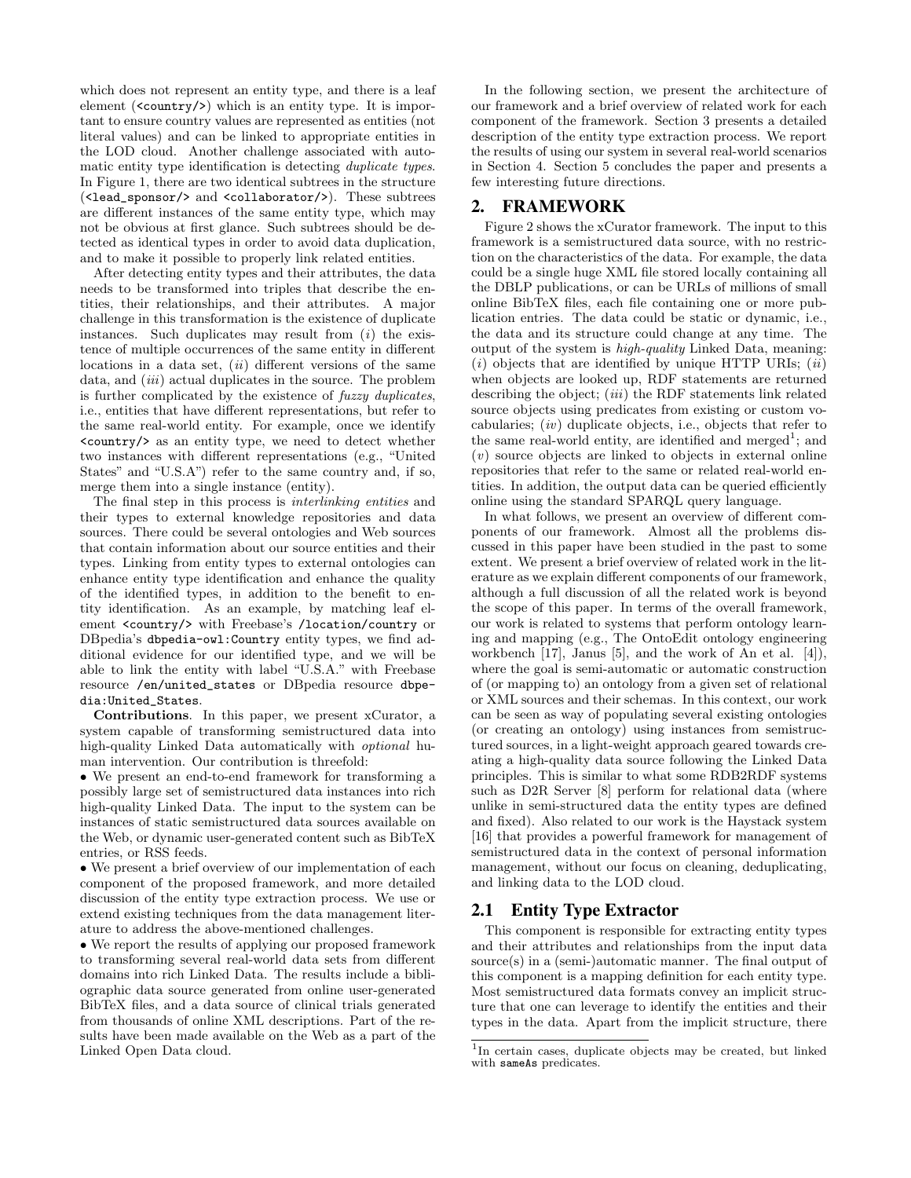which does not represent an entity type, and there is a leaf element (<country/>) which is an entity type. It is important to ensure country values are represented as entities (not literal values) and can be linked to appropriate entities in the LOD cloud. Another challenge associated with automatic entity type identification is detecting duplicate types. In Figure 1, there are two identical subtrees in the structure (<lead\_sponsor/> and <collaborator/>). These subtrees are different instances of the same entity type, which may not be obvious at first glance. Such subtrees should be detected as identical types in order to avoid data duplication, and to make it possible to properly link related entities.

After detecting entity types and their attributes, the data needs to be transformed into triples that describe the entities, their relationships, and their attributes. A major challenge in this transformation is the existence of duplicate instances. Such duplicates may result from  $(i)$  the existence of multiple occurrences of the same entity in different locations in a data set,  $(ii)$  different versions of the same data, and *(iii)* actual duplicates in the source. The problem is further complicated by the existence of fuzzy duplicates, i.e., entities that have different representations, but refer to the same real-world entity. For example, once we identify <country/> as an entity type, we need to detect whether two instances with different representations (e.g., "United States" and "U.S.A") refer to the same country and, if so, merge them into a single instance (entity).

The final step in this process is interlinking entities and their types to external knowledge repositories and data sources. There could be several ontologies and Web sources that contain information about our source entities and their types. Linking from entity types to external ontologies can enhance entity type identification and enhance the quality of the identified types, in addition to the benefit to entity identification. As an example, by matching leaf element <country/> with Freebase's /location/country or DBpedia's dbpedia-owl:Country entity types, we find additional evidence for our identified type, and we will be able to link the entity with label "U.S.A." with Freebase resource /en/united\_states or DBpedia resource dbpedia:United\_States.

Contributions. In this paper, we present xCurator, a system capable of transforming semistructured data into high-quality Linked Data automatically with optional human intervention. Our contribution is threefold:

• We present an end-to-end framework for transforming a possibly large set of semistructured data instances into rich high-quality Linked Data. The input to the system can be instances of static semistructured data sources available on the Web, or dynamic user-generated content such as BibTeX entries, or RSS feeds.

• We present a brief overview of our implementation of each component of the proposed framework, and more detailed discussion of the entity type extraction process. We use or extend existing techniques from the data management literature to address the above-mentioned challenges.

• We report the results of applying our proposed framework to transforming several real-world data sets from different domains into rich Linked Data. The results include a bibliographic data source generated from online user-generated BibTeX files, and a data source of clinical trials generated from thousands of online XML descriptions. Part of the results have been made available on the Web as a part of the Linked Open Data cloud.

In the following section, we present the architecture of our framework and a brief overview of related work for each component of the framework. Section 3 presents a detailed description of the entity type extraction process. We report the results of using our system in several real-world scenarios in Section 4. Section 5 concludes the paper and presents a few interesting future directions.

## 2. FRAMEWORK

Figure 2 shows the xCurator framework. The input to this framework is a semistructured data source, with no restriction on the characteristics of the data. For example, the data could be a single huge XML file stored locally containing all the DBLP publications, or can be URLs of millions of small online BibTeX files, each file containing one or more publication entries. The data could be static or dynamic, i.e., the data and its structure could change at any time. The output of the system is high-quality Linked Data, meaning:  $(i)$  objects that are identified by unique HTTP URIs;  $(ii)$ when objects are looked up, RDF statements are returned describing the object;  $(iii)$  the RDF statements link related source objects using predicates from existing or custom vocabularies;  $(iv)$  duplicate objects, i.e., objects that refer to the same real-world entity, are identified and merged<sup>1</sup>; and (v) source objects are linked to objects in external online repositories that refer to the same or related real-world entities. In addition, the output data can be queried efficiently online using the standard SPARQL query language.

In what follows, we present an overview of different components of our framework. Almost all the problems discussed in this paper have been studied in the past to some extent. We present a brief overview of related work in the literature as we explain different components of our framework, although a full discussion of all the related work is beyond the scope of this paper. In terms of the overall framework, our work is related to systems that perform ontology learning and mapping (e.g., The OntoEdit ontology engineering workbench [17], Janus [5], and the work of An et al. [4]), where the goal is semi-automatic or automatic construction of (or mapping to) an ontology from a given set of relational or XML sources and their schemas. In this context, our work can be seen as way of populating several existing ontologies (or creating an ontology) using instances from semistructured sources, in a light-weight approach geared towards creating a high-quality data source following the Linked Data principles. This is similar to what some RDB2RDF systems such as D2R Server [8] perform for relational data (where unlike in semi-structured data the entity types are defined and fixed). Also related to our work is the Haystack system [16] that provides a powerful framework for management of semistructured data in the context of personal information management, without our focus on cleaning, deduplicating, and linking data to the LOD cloud.

# 2.1 Entity Type Extractor

This component is responsible for extracting entity types and their attributes and relationships from the input data source(s) in a (semi-)automatic manner. The final output of this component is a mapping definition for each entity type. Most semistructured data formats convey an implicit structure that one can leverage to identify the entities and their types in the data. Apart from the implicit structure, there

<sup>&</sup>lt;sup>1</sup>In certain cases, duplicate objects may be created, but linked with sameAs predicates.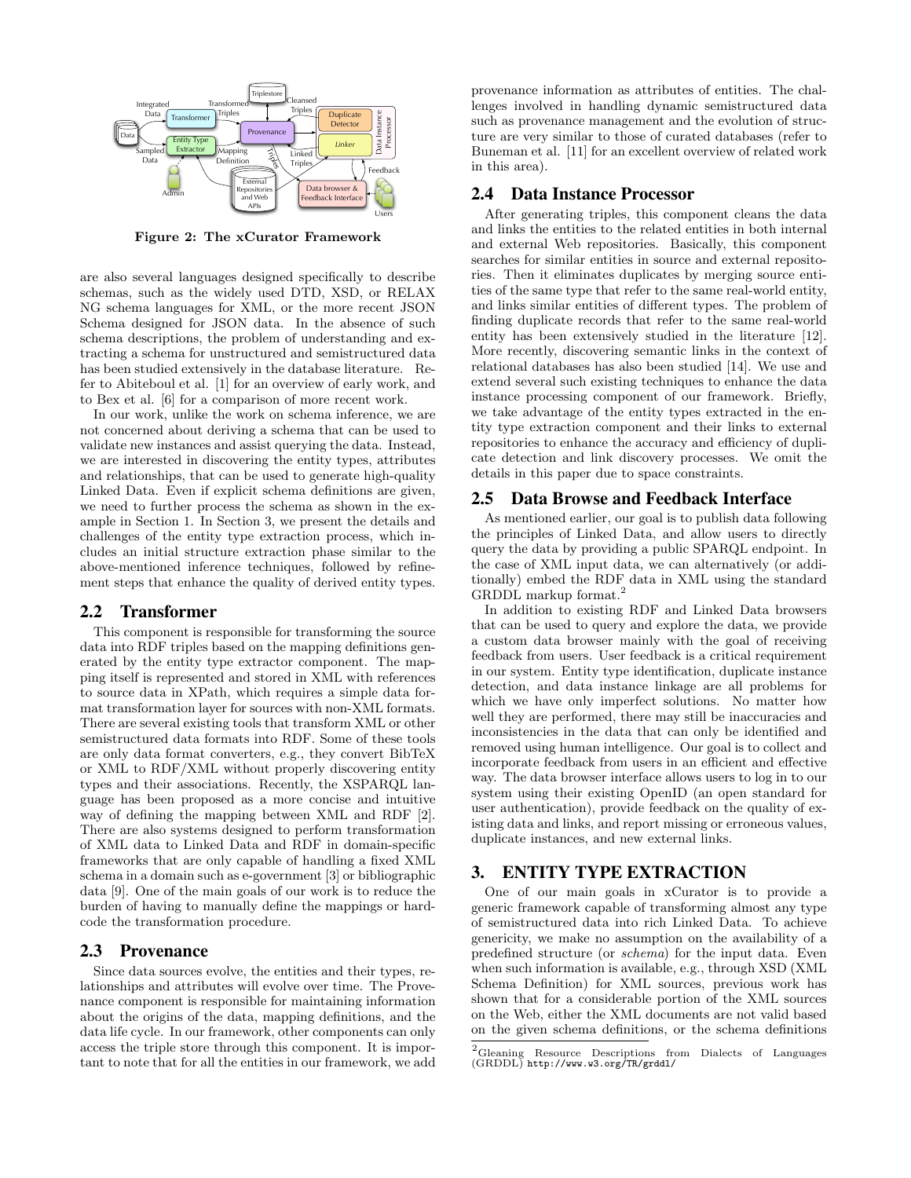

Figure 2: The xCurator Framework

are also several languages designed specifically to describe schemas, such as the widely used DTD, XSD, or RELAX NG schema languages for XML, or the more recent JSON Schema designed for JSON data. In the absence of such schema descriptions, the problem of understanding and extracting a schema for unstructured and semistructured data has been studied extensively in the database literature. Refer to Abiteboul et al. [1] for an overview of early work, and to Bex et al. [6] for a comparison of more recent work.

In our work, unlike the work on schema inference, we are not concerned about deriving a schema that can be used to validate new instances and assist querying the data. Instead, we are interested in discovering the entity types, attributes and relationships, that can be used to generate high-quality Linked Data. Even if explicit schema definitions are given, we need to further process the schema as shown in the example in Section 1. In Section 3, we present the details and challenges of the entity type extraction process, which includes an initial structure extraction phase similar to the above-mentioned inference techniques, followed by refinement steps that enhance the quality of derived entity types.

## 2.2 Transformer

This component is responsible for transforming the source data into RDF triples based on the mapping definitions generated by the entity type extractor component. The mapping itself is represented and stored in XML with references to source data in XPath, which requires a simple data format transformation layer for sources with non-XML formats. There are several existing tools that transform XML or other semistructured data formats into RDF. Some of these tools are only data format converters, e.g., they convert BibTeX or XML to RDF/XML without properly discovering entity types and their associations. Recently, the XSPARQL language has been proposed as a more concise and intuitive way of defining the mapping between XML and RDF [2]. There are also systems designed to perform transformation of XML data to Linked Data and RDF in domain-specific frameworks that are only capable of handling a fixed XML schema in a domain such as e-government [3] or bibliographic data [9]. One of the main goals of our work is to reduce the burden of having to manually define the mappings or hardcode the transformation procedure.

## 2.3 Provenance

Since data sources evolve, the entities and their types, relationships and attributes will evolve over time. The Provenance component is responsible for maintaining information about the origins of the data, mapping definitions, and the data life cycle. In our framework, other components can only access the triple store through this component. It is important to note that for all the entities in our framework, we add

provenance information as attributes of entities. The challenges involved in handling dynamic semistructured data such as provenance management and the evolution of structure are very similar to those of curated databases (refer to Buneman et al. [11] for an excellent overview of related work in this area).

#### 2.4 Data Instance Processor

After generating triples, this component cleans the data and links the entities to the related entities in both internal and external Web repositories. Basically, this component searches for similar entities in source and external repositories. Then it eliminates duplicates by merging source entities of the same type that refer to the same real-world entity, and links similar entities of different types. The problem of finding duplicate records that refer to the same real-world entity has been extensively studied in the literature [12]. More recently, discovering semantic links in the context of relational databases has also been studied [14]. We use and extend several such existing techniques to enhance the data instance processing component of our framework. Briefly, we take advantage of the entity types extracted in the entity type extraction component and their links to external repositories to enhance the accuracy and efficiency of duplicate detection and link discovery processes. We omit the details in this paper due to space constraints.

## 2.5 Data Browse and Feedback Interface

As mentioned earlier, our goal is to publish data following the principles of Linked Data, and allow users to directly query the data by providing a public SPARQL endpoint. In the case of XML input data, we can alternatively (or additionally) embed the RDF data in XML using the standard GRDDL markup format.<sup>2</sup>

In addition to existing RDF and Linked Data browsers that can be used to query and explore the data, we provide a custom data browser mainly with the goal of receiving feedback from users. User feedback is a critical requirement in our system. Entity type identification, duplicate instance detection, and data instance linkage are all problems for which we have only imperfect solutions. No matter how well they are performed, there may still be inaccuracies and inconsistencies in the data that can only be identified and removed using human intelligence. Our goal is to collect and incorporate feedback from users in an efficient and effective way. The data browser interface allows users to log in to our system using their existing OpenID (an open standard for user authentication), provide feedback on the quality of existing data and links, and report missing or erroneous values, duplicate instances, and new external links.

## 3. ENTITY TYPE EXTRACTION

One of our main goals in xCurator is to provide a generic framework capable of transforming almost any type of semistructured data into rich Linked Data. To achieve genericity, we make no assumption on the availability of a predefined structure (or schema) for the input data. Even when such information is available, e.g., through XSD (XML Schema Definition) for XML sources, previous work has shown that for a considerable portion of the XML sources on the Web, either the XML documents are not valid based on the given schema definitions, or the schema definitions

 ${\rm ^2G}$  Resource Descriptions from Dialects of Languages (GRDDL) http://www.w3.org/TR/grddl/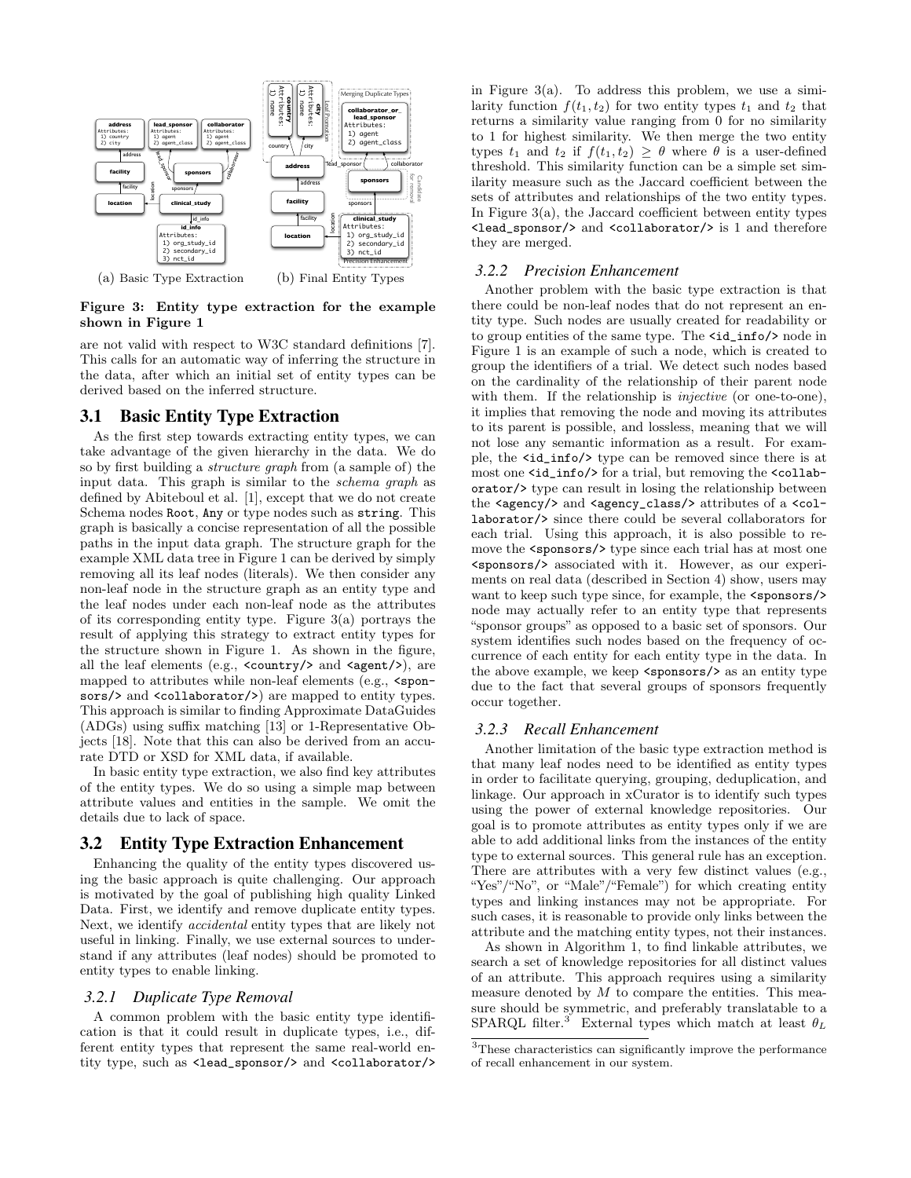

Figure 3: Entity type extraction for the example shown in Figure 1

are not valid with respect to W3C standard definitions [7]. This calls for an automatic way of inferring the structure in the data, after which an initial set of entity types can be derived based on the inferred structure.

# 3.1 Basic Entity Type Extraction

As the first step towards extracting entity types, we can take advantage of the given hierarchy in the data. We do so by first building a structure graph from (a sample of) the input data. This graph is similar to the schema graph as defined by Abiteboul et al. [1], except that we do not create Schema nodes Root, Any or type nodes such as string. This graph is basically a concise representation of all the possible paths in the input data graph. The structure graph for the example XML data tree in Figure 1 can be derived by simply removing all its leaf nodes (literals). We then consider any non-leaf node in the structure graph as an entity type and the leaf nodes under each non-leaf node as the attributes of its corresponding entity type. Figure 3(a) portrays the result of applying this strategy to extract entity types for the structure shown in Figure 1. As shown in the figure, all the leaf elements (e.g.,  $\langle \text{country}\rangle$  and  $\langle \text{agent}\rangle$ ), are mapped to attributes while non-leaf elements  $(e.g., \text{Spon-}$ sors/> and <collaborator/>> are mapped to entity types. This approach is similar to finding Approximate DataGuides (ADGs) using suffix matching [13] or 1-Representative Objects [18]. Note that this can also be derived from an accurate DTD or XSD for XML data, if available.

In basic entity type extraction, we also find key attributes of the entity types. We do so using a simple map between attribute values and entities in the sample. We omit the details due to lack of space.

#### 3.2 Entity Type Extraction Enhancement

Enhancing the quality of the entity types discovered using the basic approach is quite challenging. Our approach is motivated by the goal of publishing high quality Linked Data. First, we identify and remove duplicate entity types. Next, we identify accidental entity types that are likely not useful in linking. Finally, we use external sources to understand if any attributes (leaf nodes) should be promoted to entity types to enable linking.

#### *3.2.1 Duplicate Type Removal*

A common problem with the basic entity type identification is that it could result in duplicate types, i.e., different entity types that represent the same real-world entity type, such as <lead\_sponsor/> and <collaborator/>> in Figure  $3(a)$ . To address this problem, we use a similarity function  $f(t_1, t_2)$  for two entity types  $t_1$  and  $t_2$  that returns a similarity value ranging from 0 for no similarity to 1 for highest similarity. We then merge the two entity types  $t_1$  and  $t_2$  if  $f(t_1, t_2) \geq \theta$  where  $\theta$  is a user-defined threshold. This similarity function can be a simple set similarity measure such as the Jaccard coefficient between the sets of attributes and relationships of the two entity types. In Figure 3(a), the Jaccard coefficient between entity types <lead\_sponsor/> and <collaborator/> is 1 and therefore they are merged.

#### *3.2.2 Precision Enhancement*

Another problem with the basic type extraction is that there could be non-leaf nodes that do not represent an entity type. Such nodes are usually created for readability or to group entities of the same type. The  $\text{id}_\text{info}/\text{mod}$  in Figure 1 is an example of such a node, which is created to group the identifiers of a trial. We detect such nodes based on the cardinality of the relationship of their parent node with them. If the relationship is *injective* (or one-to-one), it implies that removing the node and moving its attributes to its parent is possible, and lossless, meaning that we will not lose any semantic information as a result. For example, the <id\_info/> type can be removed since there is at most one <id\_info/> for a trial, but removing the <collaborator/> type can result in losing the relationship between the <agency/> and <agency\_class/> attributes of a <collaborator/> since there could be several collaborators for each trial. Using this approach, it is also possible to remove the <sponsors/> type since each trial has at most one <sponsors/> associated with it. However, as our experiments on real data (described in Section 4) show, users may want to keep such type since, for example, the <sponsors/> node may actually refer to an entity type that represents "sponsor groups" as opposed to a basic set of sponsors. Our system identifies such nodes based on the frequency of occurrence of each entity for each entity type in the data. In the above example, we keep <sponsors/> as an entity type due to the fact that several groups of sponsors frequently occur together.

#### *3.2.3 Recall Enhancement*

Another limitation of the basic type extraction method is that many leaf nodes need to be identified as entity types in order to facilitate querying, grouping, deduplication, and linkage. Our approach in xCurator is to identify such types using the power of external knowledge repositories. Our goal is to promote attributes as entity types only if we are able to add additional links from the instances of the entity type to external sources. This general rule has an exception. There are attributes with a very few distinct values (e.g., "Yes"/"No", or "Male"/"Female") for which creating entity types and linking instances may not be appropriate. For such cases, it is reasonable to provide only links between the attribute and the matching entity types, not their instances.

As shown in Algorithm 1, to find linkable attributes, we search a set of knowledge repositories for all distinct values of an attribute. This approach requires using a similarity measure denoted by  $M$  to compare the entities. This measure should be symmetric, and preferably translatable to a SPARQL filter.<sup>3</sup> External types which match at least  $\theta_L$ 

<sup>3</sup>These characteristics can significantly improve the performance of recall enhancement in our system.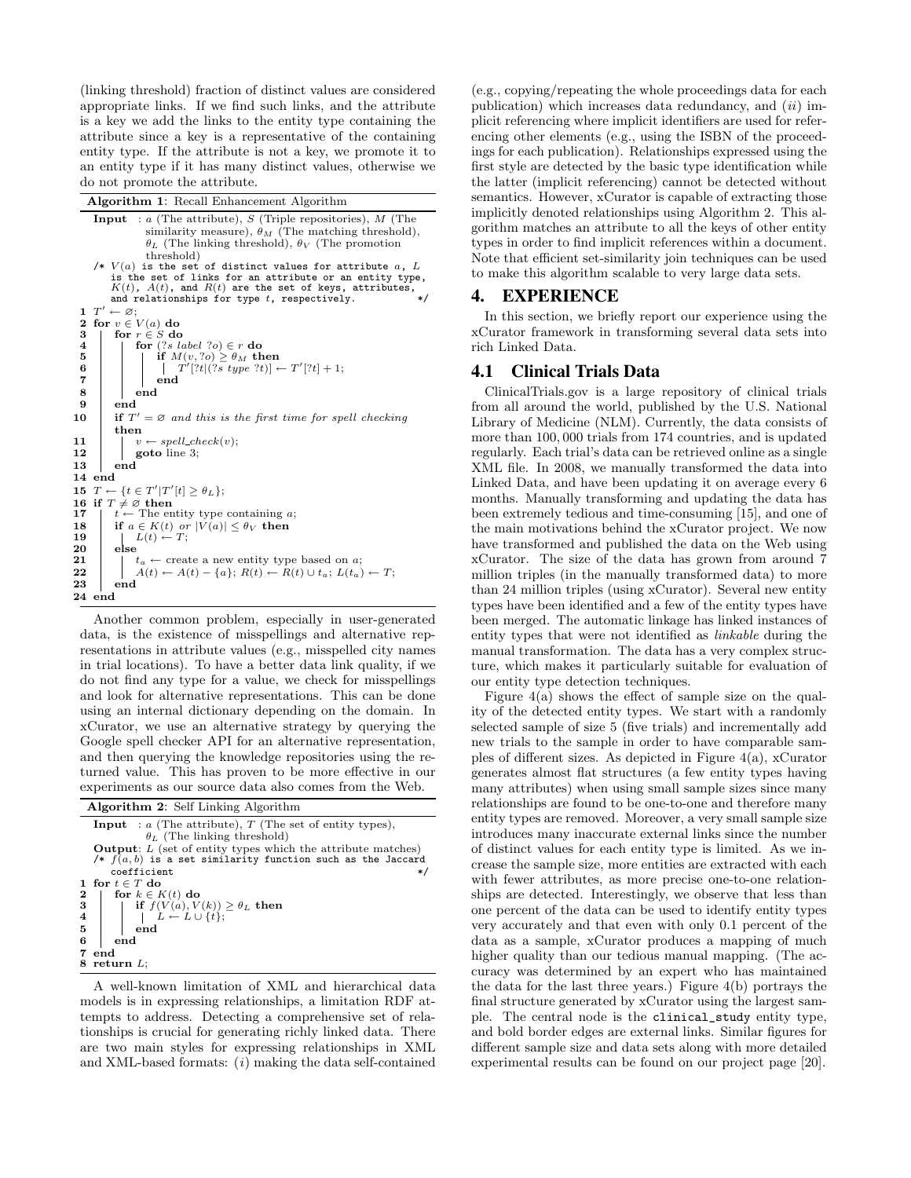(linking threshold) fraction of distinct values are considered appropriate links. If we find such links, and the attribute is a key we add the links to the entity type containing the attribute since a key is a representative of the containing entity type. If the attribute is not a key, we promote it to an entity type if it has many distinct values, otherwise we do not promote the attribute.

Algorithm 1: Recall Enhancement Algorithm

```
Input : a (The attribute), S (Triple repositories), M (The
                     similarity measure), \theta_M (The matching threshold),
                     \theta_L (The linking threshold), \theta_V (The promotion
                     threshold)
          V(a) is the set of distinct values for attribute a, L
           is the set of links for an attribute or an entity type, K(t), A(t), and R(t) are the set of keys, attributes,
          and relationships for type t, respectively.
 1 T'\leftarrow \varnothing;
  2 \text{ for } v \in V(a) \text{ do}<br>
3 \mid \text{ for } r \in S \text{ do}4 for (?s \text{ label } ?o) \in r do<br>5 for (?s \text{ label } ?o) > \theta_M th
 5 if M(v, ?o) \geq \theta_M then<br>6 if T'[?t](?s \text{ type } ?t)]6 | | | T'[?t](?s type ?t)| \leftarrow T'[?t] + 1;\begin{array}{c|c} 7 & \quad & \quad \text{end} \end{array}\begin{array}{c|c} 8 & \text{end} \\ 9 & \text{end} \end{array}end
10 if T' = \emptyset and this is the first time for spell checking
           then
11 | v \leftarrow spell\_check(v);12 | goto line 3;
13 end
14 end
15 T \leftarrow \{t \in T'|T'[t] \geq \theta_L\};16 if T \neq \emptyset then<br>17 | t \leftarrow The en
              \leftarrow The entity type containing a;
18 if a \in K(t) or |V(a)| \le \theta_V then<br>19 L(t) \leftarrow T;
             |\tilde{L}(t) \leftarrow T;\begin{array}{c|c} 20 & \text{else} \ 21 & \text{else} \end{array}21 t_a \leftarrow create a new entity type based on a;<br>22 A(t) \leftarrow A(t) - \{a\}; R(t) \leftarrow R(t) \cup t_a; L(t_a)22 A(t) \leftarrow A(t) - \{a\}; R(t) \leftarrow R(t) \cup t_a; L(t_a) \leftarrow T;<br>23 end
            end
24 end
```
Another common problem, especially in user-generated data, is the existence of misspellings and alternative representations in attribute values (e.g., misspelled city names in trial locations). To have a better data link quality, if we do not find any type for a value, we check for misspellings and look for alternative representations. This can be done using an internal dictionary depending on the domain. In xCurator, we use an alternative strategy by querying the Google spell checker API for an alternative representation, and then querying the knowledge repositories using the returned value. This has proven to be more effective in our experiments as our source data also comes from the Web.

|                           | <b>Algorithm 2:</b> Self Linking Algorithm                                                                                                                                               |
|---------------------------|------------------------------------------------------------------------------------------------------------------------------------------------------------------------------------------|
|                           | <b>Input</b> : $a$ (The attribute), $T$ (The set of entity types),<br>$\theta_L$ (The linking threshold)                                                                                 |
|                           | <b>Output:</b> $L$ (set of entity types which the attribute matches)<br>/* $f(a, b)$ is a set similarity function such as the Jaccard<br>coefficient<br>*/                               |
| $\bf{2}$<br>$\bf{3}$<br>6 | 1 for $t \in T$ do<br>for $k \in K(t)$ do<br>if $f(V(a), V(k)) \ge \theta_L$ then<br>$L \leftarrow L \cup \{t\};$<br>$4 \mid$<br>$5 \mid$<br>$\boldsymbol{\mathrm{end}}$<br>end<br>7 end |
|                           | $8$ return $L$ :                                                                                                                                                                         |

A well-known limitation of XML and hierarchical data models is in expressing relationships, a limitation RDF attempts to address. Detecting a comprehensive set of relationships is crucial for generating richly linked data. There are two main styles for expressing relationships in XML and XML-based formats:  $(i)$  making the data self-contained

(e.g., copying/repeating the whole proceedings data for each publication) which increases data redundancy, and  $(ii)$  implicit referencing where implicit identifiers are used for referencing other elements (e.g., using the ISBN of the proceedings for each publication). Relationships expressed using the first style are detected by the basic type identification while the latter (implicit referencing) cannot be detected without semantics. However, xCurator is capable of extracting those implicitly denoted relationships using Algorithm 2. This algorithm matches an attribute to all the keys of other entity types in order to find implicit references within a document. Note that efficient set-similarity join techniques can be used to make this algorithm scalable to very large data sets.

## 4. EXPERIENCE

In this section, we briefly report our experience using the xCurator framework in transforming several data sets into rich Linked Data.

## 4.1 Clinical Trials Data

ClinicalTrials.gov is a large repository of clinical trials from all around the world, published by the U.S. National Library of Medicine (NLM). Currently, the data consists of more than 100, 000 trials from 174 countries, and is updated regularly. Each trial's data can be retrieved online as a single XML file. In 2008, we manually transformed the data into Linked Data, and have been updating it on average every 6 months. Manually transforming and updating the data has been extremely tedious and time-consuming [15], and one of the main motivations behind the xCurator project. We now have transformed and published the data on the Web using xCurator. The size of the data has grown from around 7 million triples (in the manually transformed data) to more than 24 million triples (using xCurator). Several new entity types have been identified and a few of the entity types have been merged. The automatic linkage has linked instances of entity types that were not identified as linkable during the manual transformation. The data has a very complex structure, which makes it particularly suitable for evaluation of our entity type detection techniques.

Figure  $4(a)$  shows the effect of sample size on the quality of the detected entity types. We start with a randomly selected sample of size 5 (five trials) and incrementally add new trials to the sample in order to have comparable samples of different sizes. As depicted in Figure 4(a), xCurator generates almost flat structures (a few entity types having many attributes) when using small sample sizes since many relationships are found to be one-to-one and therefore many entity types are removed. Moreover, a very small sample size introduces many inaccurate external links since the number of distinct values for each entity type is limited. As we increase the sample size, more entities are extracted with each with fewer attributes, as more precise one-to-one relationships are detected. Interestingly, we observe that less than one percent of the data can be used to identify entity types very accurately and that even with only 0.1 percent of the data as a sample, xCurator produces a mapping of much higher quality than our tedious manual mapping. (The accuracy was determined by an expert who has maintained the data for the last three years.) Figure 4(b) portrays the final structure generated by xCurator using the largest sample. The central node is the clinical\_study entity type, and bold border edges are external links. Similar figures for different sample size and data sets along with more detailed experimental results can be found on our project page [20].